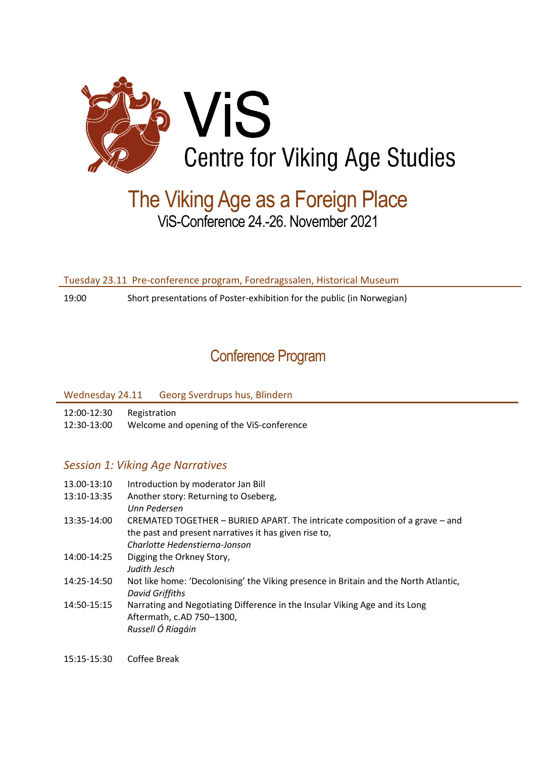

# The Viking Age as a Foreign Place ViS-Conference 24.-26. November 2021

Tuesday 23.11 Pre-conference program, Foredragssalen, Historical Museum

19:00 Short presentations of Poster-exhibition for the public (in Norwegian)

## Conference Program

Wednesday 24.11 Georg Sverdrups hus, Blindern

12:00-12:30 Registration

12:30-13:00 Welcome and opening of the ViS-conference

## *Session 1: Viking Age Narratives*

- 13.00-13:10 Introduction by moderator Jan Bill
- 13:10-13:35 Another story: Returning to Oseberg, *Unn Pedersen*
- 13:35-14:00 CREMATED TOGETHER BURIED APART. The intricate composition of a grave and the past and present narratives it has given rise to, *Charlotte Hedenstierna-Jonson*
- 14:00-14:25 Digging the Orkney Story,
- *Judith Jesch*
- 14:25-14:50 Not like home: 'Decolonising' the Viking presence in Britain and the North Atlantic, *David Griffiths*
- 14:50-15:15 Narrating and Negotiating Difference in the Insular Viking Age and its Long Aftermath, c.AD 750–1300, *Russell Ó Ríagáin*
- 15:15-15:30 Coffee Break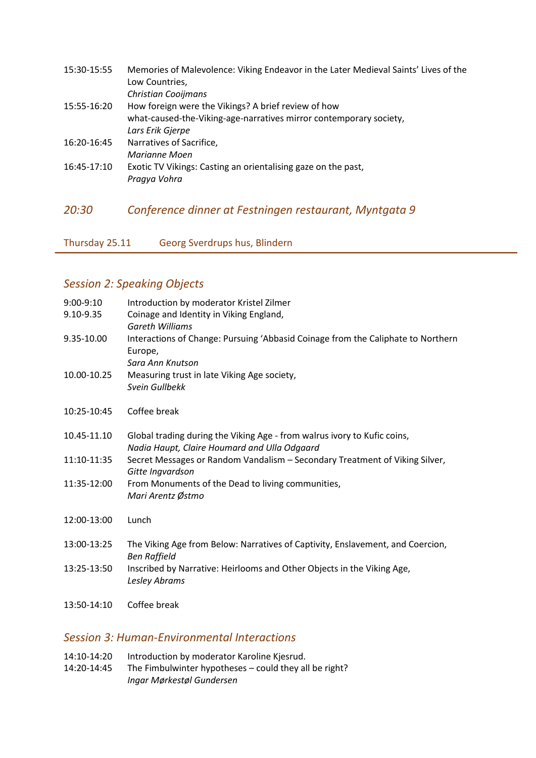| 15:30-15:55 | Memories of Malevolence: Viking Endeavor in the Later Medieval Saints' Lives of the |
|-------------|-------------------------------------------------------------------------------------|
|             | Low Countries,                                                                      |
|             | <b>Christian Cooijmans</b>                                                          |
| 15:55-16:20 | How foreign were the Vikings? A brief review of how                                 |
|             | what-caused-the-Viking-age-narratives mirror contemporary society,                  |
|             | Lars Erik Gjerpe                                                                    |
| 16:20-16:45 | Narratives of Sacrifice,                                                            |
|             | Marianne Moen                                                                       |
| 16:45-17:10 | Exotic TV Vikings: Casting an orientalising gaze on the past,                       |
|             | Pragya Vohra                                                                        |
|             |                                                                                     |
|             |                                                                                     |

*20:30 Conference dinner at Festningen restaurant, Myntgata 9*

Thursday 25.11 Georg Sverdrups hus, Blindern

## *Session 2: Speaking Objects*

| $9:00-9:10$ | Introduction by moderator Kristel Zilmer                                                                                 |
|-------------|--------------------------------------------------------------------------------------------------------------------------|
| 9.10-9.35   | Coinage and Identity in Viking England,<br><b>Gareth Williams</b>                                                        |
| 9.35-10.00  | Interactions of Change: Pursuing 'Abbasid Coinage from the Caliphate to Northern<br>Europe,<br>Sara Ann Knutson          |
| 10.00-10.25 | Measuring trust in late Viking Age society,<br>Svein Gullbekk                                                            |
| 10:25-10:45 | Coffee break                                                                                                             |
| 10.45-11.10 | Global trading during the Viking Age - from walrus ivory to Kufic coins,<br>Nadia Haupt, Claire Houmard and Ulla Odgaard |
| 11:10-11:35 | Secret Messages or Random Vandalism - Secondary Treatment of Viking Silver,<br>Gitte Ingvardson                          |
| 11:35-12:00 | From Monuments of the Dead to living communities,<br>Mari Arentz Østmo                                                   |
| 12:00-13:00 | Lunch                                                                                                                    |
| 13:00-13:25 | The Viking Age from Below: Narratives of Captivity, Enslavement, and Coercion,<br><b>Ben Raffield</b>                    |
| 13:25-13:50 | Inscribed by Narrative: Heirlooms and Other Objects in the Viking Age,<br>Lesley Abrams                                  |
| 13:50-14:10 | Coffee break                                                                                                             |

## *Session 3: Human-Environmental Interactions*

- 14:10-14:20 Introduction by moderator Karoline Kjesrud.
- 14:20-14:45 The Fimbulwinter hypotheses could they all be right? *Ingar Mørkestøl Gundersen*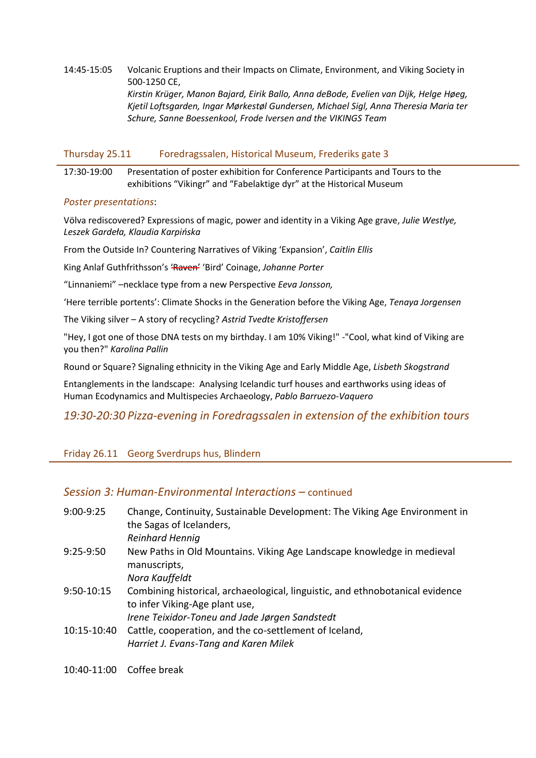#### 14:45-15:05 Volcanic Eruptions and their Impacts on Climate, Environment, and Viking Society in 500-1250 CE, *Kirstin Krüger, Manon Bajard, Eirik Ballo, Anna deBode, Evelien van Dijk, Helge Høeg, Kjetil Loftsgarden, Ingar Mørkestøl Gundersen, Michael Sigl, Anna Theresia Maria ter Schure, Sanne Boessenkool, Frode Iversen and the VIKINGS Team*

#### Thursday 25.11 Foredragssalen, Historical Museum, Frederiks gate 3

#### 17:30-19:00 Presentation of poster exhibition for Conference Participants and Tours to the exhibitions "Vikingr" and "Fabelaktige dyr" at the Historical Museum

#### *Poster presentations*:

Völva rediscovered? Expressions of magic, power and identity in a Viking Age grave, *Julie Westlye, Leszek Gardeła, Klaudia Karpińska*

From the Outside In? Countering Narratives of Viking 'Expansion', *Caitlin Ellis*

King Anlaf Guthfrithsson's 'Raven' 'Bird' Coinage, *Johanne Porter*

"Linnaniemi" –necklace type from a new Perspective *Eeva Jonsson,*

'Here terrible portents': Climate Shocks in the Generation before the Viking Age, *Tenaya Jorgensen*

The Viking silver – A story of recycling? *Astrid Tvedte Kristoffersen*

"Hey, I got one of those DNA tests on my birthday. I am 10% Viking!" -"Cool, what kind of Viking are you then?" *Karolina Pallin*

Round or Square? Signaling ethnicity in the Viking Age and Early Middle Age, *Lisbeth Skogstrand*

Entanglements in the landscape: Analysing Icelandic turf houses and earthworks using ideas of Human Ecodynamics and Multispecies Archaeology, *Pablo Barruezo-Vaquero*

## *19:30-20:30 Pizza-evening in Foredragssalen in extension of the exhibition tours*

## Friday 26.11 Georg Sverdrups hus, Blindern

## *Session 3: Human-Environmental Interactions –* continued

| $9:00-9:25$ | Change, Continuity, Sustainable Development: The Viking Age Environment in<br>the Sagas of Icelanders,                                                            |
|-------------|-------------------------------------------------------------------------------------------------------------------------------------------------------------------|
|             | Reinhard Hennig                                                                                                                                                   |
| $9:25-9:50$ | New Paths in Old Mountains. Viking Age Landscape knowledge in medieval<br>manuscripts,<br>Nora Kauffeldt                                                          |
| 9:50-10:15  | Combining historical, archaeological, linguistic, and ethnobotanical evidence<br>to infer Viking-Age plant use,<br>Irene Teixidor-Toneu and Jade Jørgen Sandstedt |
| 10:15-10:40 | Cattle, cooperation, and the co-settlement of Iceland,<br>Harriet J. Evans-Tang and Karen Milek                                                                   |

10:40-11:00 Coffee break